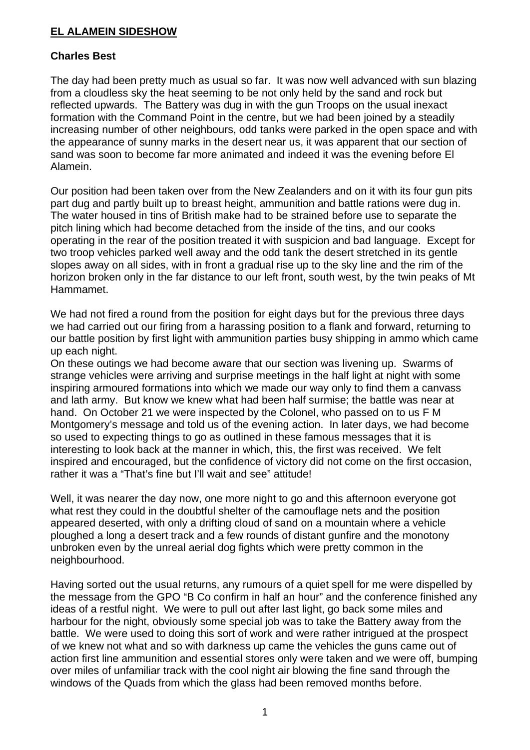## **EL ALAMEIN SIDESHOW**

## **Charles Best**

The day had been pretty much as usual so far. It was now well advanced with sun blazing from a cloudless sky the heat seeming to be not only held by the sand and rock but reflected upwards. The Battery was dug in with the gun Troops on the usual inexact formation with the Command Point in the centre, but we had been joined by a steadily increasing number of other neighbours, odd tanks were parked in the open space and with the appearance of sunny marks in the desert near us, it was apparent that our section of sand was soon to become far more animated and indeed it was the evening before El Alamein.

Our position had been taken over from the New Zealanders and on it with its four gun pits part dug and partly built up to breast height, ammunition and battle rations were dug in. The water housed in tins of British make had to be strained before use to separate the pitch lining which had become detached from the inside of the tins, and our cooks operating in the rear of the position treated it with suspicion and bad language. Except for two troop vehicles parked well away and the odd tank the desert stretched in its gentle slopes away on all sides, with in front a gradual rise up to the sky line and the rim of the horizon broken only in the far distance to our left front, south west, by the twin peaks of Mt Hammamet.

We had not fired a round from the position for eight days but for the previous three days we had carried out our firing from a harassing position to a flank and forward, returning to our battle position by first light with ammunition parties busy shipping in ammo which came up each night.

On these outings we had become aware that our section was livening up. Swarms of strange vehicles were arriving and surprise meetings in the half light at night with some inspiring armoured formations into which we made our way only to find them a canvass and lath army. But know we knew what had been half surmise; the battle was near at hand. On October 21 we were inspected by the Colonel, who passed on to us F M Montgomery's message and told us of the evening action. In later days, we had become so used to expecting things to go as outlined in these famous messages that it is interesting to look back at the manner in which, this, the first was received. We felt inspired and encouraged, but the confidence of victory did not come on the first occasion, rather it was a "That's fine but I'll wait and see" attitude!

Well, it was nearer the day now, one more night to go and this afternoon everyone got what rest they could in the doubtful shelter of the camouflage nets and the position appeared deserted, with only a drifting cloud of sand on a mountain where a vehicle ploughed a long a desert track and a few rounds of distant gunfire and the monotony unbroken even by the unreal aerial dog fights which were pretty common in the neighbourhood.

Having sorted out the usual returns, any rumours of a quiet spell for me were dispelled by the message from the GPO "B Co confirm in half an hour" and the conference finished any ideas of a restful night. We were to pull out after last light, go back some miles and harbour for the night, obviously some special job was to take the Battery away from the battle. We were used to doing this sort of work and were rather intrigued at the prospect of we knew not what and so with darkness up came the vehicles the guns came out of action first line ammunition and essential stores only were taken and we were off, bumping over miles of unfamiliar track with the cool night air blowing the fine sand through the windows of the Quads from which the glass had been removed months before.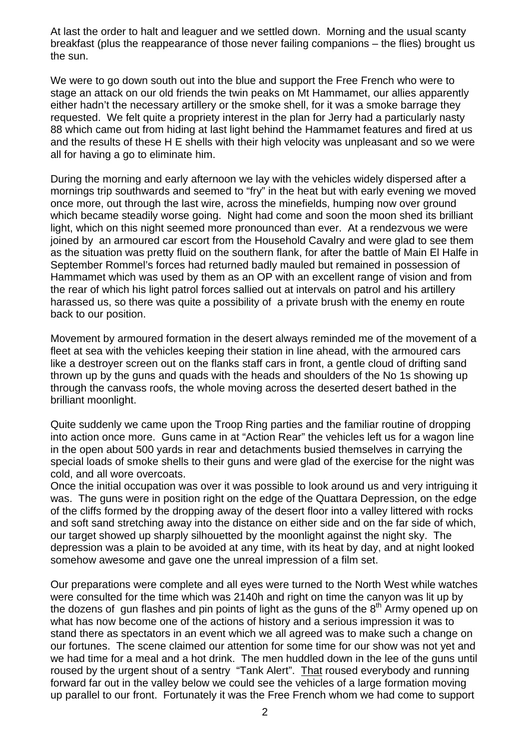At last the order to halt and leaguer and we settled down. Morning and the usual scanty breakfast (plus the reappearance of those never failing companions – the flies) brought us the sun.

We were to go down south out into the blue and support the Free French who were to stage an attack on our old friends the twin peaks on Mt Hammamet, our allies apparently either hadn't the necessary artillery or the smoke shell, for it was a smoke barrage they requested. We felt quite a propriety interest in the plan for Jerry had a particularly nasty 88 which came out from hiding at last light behind the Hammamet features and fired at us and the results of these H E shells with their high velocity was unpleasant and so we were all for having a go to eliminate him.

During the morning and early afternoon we lay with the vehicles widely dispersed after a mornings trip southwards and seemed to "fry" in the heat but with early evening we moved once more, out through the last wire, across the minefields, humping now over ground which became steadily worse going. Night had come and soon the moon shed its brilliant light, which on this night seemed more pronounced than ever. At a rendezvous we were joined by an armoured car escort from the Household Cavalry and were glad to see them as the situation was pretty fluid on the southern flank, for after the battle of Main El Halfe in September Rommel's forces had returned badly mauled but remained in possession of Hammamet which was used by them as an OP with an excellent range of vision and from the rear of which his light patrol forces sallied out at intervals on patrol and his artillery harassed us, so there was quite a possibility of a private brush with the enemy en route back to our position.

Movement by armoured formation in the desert always reminded me of the movement of a fleet at sea with the vehicles keeping their station in line ahead, with the armoured cars like a destroyer screen out on the flanks staff cars in front, a gentle cloud of drifting sand thrown up by the guns and quads with the heads and shoulders of the No 1s showing up through the canvass roofs, the whole moving across the deserted desert bathed in the brilliant moonlight.

Quite suddenly we came upon the Troop Ring parties and the familiar routine of dropping into action once more. Guns came in at "Action Rear" the vehicles left us for a wagon line in the open about 500 yards in rear and detachments busied themselves in carrying the special loads of smoke shells to their guns and were glad of the exercise for the night was cold, and all wore overcoats.

Once the initial occupation was over it was possible to look around us and very intriguing it was. The guns were in position right on the edge of the Quattara Depression, on the edge of the cliffs formed by the dropping away of the desert floor into a valley littered with rocks and soft sand stretching away into the distance on either side and on the far side of which, our target showed up sharply silhouetted by the moonlight against the night sky. The depression was a plain to be avoided at any time, with its heat by day, and at night looked somehow awesome and gave one the unreal impression of a film set.

Our preparations were complete and all eyes were turned to the North West while watches were consulted for the time which was 2140h and right on time the canyon was lit up by the dozens of gun flashes and pin points of light as the guns of the  $8<sup>th</sup>$  Army opened up on what has now become one of the actions of history and a serious impression it was to stand there as spectators in an event which we all agreed was to make such a change on our fortunes. The scene claimed our attention for some time for our show was not yet and we had time for a meal and a hot drink. The men huddled down in the lee of the guns until roused by the urgent shout of a sentry "Tank Alert". That roused everybody and running forward far out in the valley below we could see the vehicles of a large formation moving up parallel to our front. Fortunately it was the Free French whom we had come to support